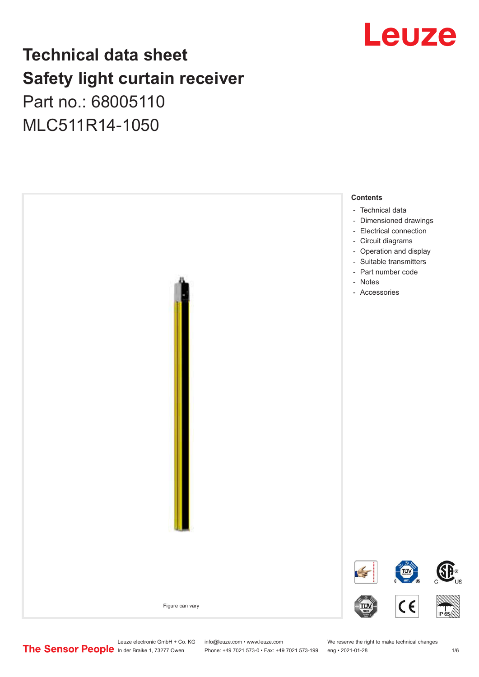## Leuze

## **Technical data sheet Safety light curtain receiver** Part no.: 68005110

MLC511R14-1050



Leuze electronic GmbH + Co. KG info@leuze.com • www.leuze.com We reserve the right to make technical changes<br>
The Sensor People in der Braike 1, 73277 Owen Phone: +49 7021 573-0 • Fax: +49 7021 573-199 eng • 2021-01-28

Phone: +49 7021 573-0 • Fax: +49 7021 573-199 eng • 2021-01-28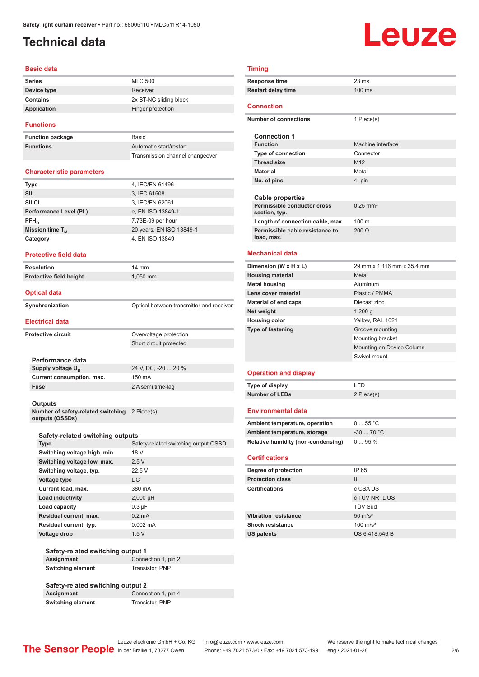## <span id="page-1-0"></span>**Technical data**

# Leuze

#### **Basic data**

| <b>Series</b>   | <b>MLC 500</b>         |
|-----------------|------------------------|
| Device type     | Receiver               |
| <b>Contains</b> | 2x BT-NC sliding block |
| Application     | Finger protection      |
|                 |                        |

#### **Functions**

**Function package Functions** 

| <b>Basic</b>                    |
|---------------------------------|
| Automatic start/restart         |
| Transmission channel changeover |

#### **Characteristic parameters**

| <b>Type</b>            | 4, IEC/EN 61496          |
|------------------------|--------------------------|
| <b>SIL</b>             | 3, IEC 61508             |
| <b>SILCL</b>           | 3, IEC/EN 62061          |
| Performance Level (PL) | e, EN ISO 13849-1        |
| $PFH_{n}$              | 7.73E-09 per hour        |
| Mission time $T_M$     | 20 years, EN ISO 13849-1 |
| Category               | 4, EN ISO 13849          |
|                        |                          |

**Protective field height** 1,050 mm

### **Protective field data**

| <b>Resolution</b>       | $14 \text{ mm}$    |
|-------------------------|--------------------|
| Protective field height | 1.050 <sub>1</sub> |

|  | <b>Optical data</b> |  |
|--|---------------------|--|

| Synchronization | Optical between transmitter and receiver |
|-----------------|------------------------------------------|

#### **Electrical data**

| <b>Protective circuit</b> | Overvoltage protection                                  |
|---------------------------|---------------------------------------------------------|
|                           | $\sim$ $\sim$ $\sim$ $\sim$ $\sim$ $\sim$ $\sim$ $\sim$ |

**Performance data** Supply voltage  $U_B$ **Current consumption, max.** 150 mA **Fuse** 2 A semi time-lag

24 V, DC, -20 ... 20 %

Short circuit protected

#### **Outputs**

**Number of safety-related switching outputs (OSSDs)** 2 Piece(s)

#### **Safety-related switching outputs**

| <b>Type</b>                  | Safety-related switching output OSSD |
|------------------------------|--------------------------------------|
| Switching voltage high, min. | 18 V                                 |
| Switching voltage low, max.  | 2.5V                                 |
| Switching voltage, typ.      | 22.5V                                |
| Voltage type                 | DC.                                  |
| Current load, max.           | 380 mA                               |
| Load inductivity             | $2,000$ µH                           |
| Load capacity                | $0.3 \mu F$                          |
| Residual current, max.       | $0.2 \text{ mA}$                     |
| Residual current, typ.       | $0.002 \, \text{mA}$                 |
| <b>Voltage drop</b>          | 1.5V                                 |

#### **Safety-related switching output 1 Assignment** Connection 1, pin 2 **Switching element** Transistor, PNP

#### **Safety-related switching output 2 Connection 1, pin 4 Switching element** Transistor, PNP

### **Timing**

|                           | Response time                                 | $23 \text{ ms}$        |
|---------------------------|-----------------------------------------------|------------------------|
| <b>Restart delay time</b> |                                               | 100 ms                 |
|                           | <b>Connection</b>                             |                        |
|                           | Number of connections                         | 1 Piece(s)             |
|                           | <b>Connection 1</b>                           |                        |
|                           | <b>Function</b>                               | Machine interface      |
|                           | <b>Type of connection</b>                     | Connector              |
|                           | <b>Thread size</b>                            | M <sub>12</sub>        |
|                           | <b>Material</b>                               | Metal                  |
|                           | No. of pins                                   | 4-pin                  |
|                           |                                               |                        |
|                           | <b>Cable properties</b>                       |                        |
|                           | Permissible conductor cross<br>section, typ.  | $0.25$ mm <sup>2</sup> |
|                           | Length of connection cable, max.              | 100 <sub>m</sub>       |
|                           | Permissible cable resistance to<br>load, max. | $200 \Omega$           |
|                           |                                               |                        |

### **Mechanical data**

| Dimension (W x H x L)        | 29 mm x 1,116 mm x 35.4 mm |
|------------------------------|----------------------------|
| <b>Housing material</b>      | Metal                      |
| <b>Metal housing</b>         | Aluminum                   |
| Lens cover material          | Plastic / PMMA             |
| <b>Material of end caps</b>  | Diecast zinc               |
| Net weight                   | $1,200$ q                  |
| <b>Housing color</b>         | Yellow, RAL 1021           |
| <b>Type of fastening</b>     | Groove mounting            |
|                              | Mounting bracket           |
|                              | Mounting on Device Column  |
|                              | Swivel mount               |
| <b>Operation and display</b> |                            |
|                              |                            |

#### **Operation and display**

| Type of display | LED        |
|-----------------|------------|
| Number of LEDs  | 2 Piece(s) |

#### **Environmental data**

| Ambient temperature, operation     | $055$ °C    |
|------------------------------------|-------------|
| Ambient temperature, storage       | $-30$ 70 °C |
| Relative humidity (non-condensing) | $095\%$     |

#### **Certifications**

| Degree of protection        | IP 65               |
|-----------------------------|---------------------|
| <b>Protection class</b>     | Ш                   |
| <b>Certifications</b>       | c CSA US            |
|                             | c TÜV NRTL US       |
|                             | <b>TÜV Süd</b>      |
| <b>Vibration resistance</b> | $50 \text{ m/s}^2$  |
| <b>Shock resistance</b>     | $100 \text{ m/s}^2$ |
| <b>US patents</b>           | US 6,418,546 B      |

Leuze electronic GmbH + Co. KG info@leuze.com • www.leuze.com We reserve the right to make technical changes<br>
The Sensor People in der Braike 1, 73277 Owen Phone: +49 7021 573-0 • Fax: +49 7021 573-199 eng • 2021-01-28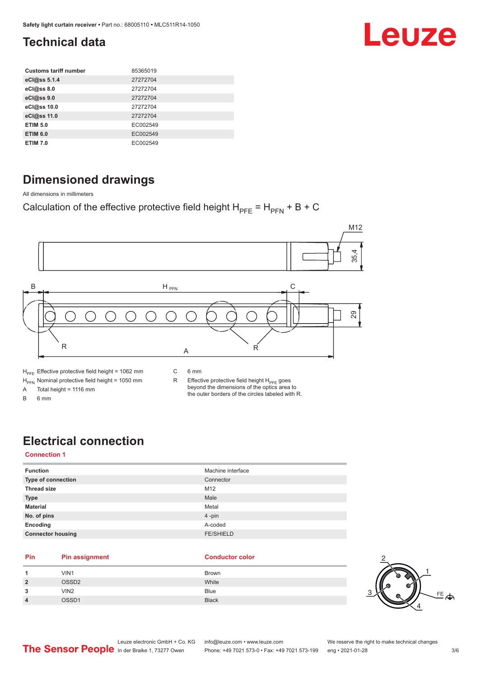## Leuze

## <span id="page-2-0"></span>**Technical data**

| <b>Customs tariff number</b> | 85365019 |
|------------------------------|----------|
| eCl@ss 5.1.4                 | 27272704 |
| eCl@ss 8.0                   | 27272704 |
| eCl@ss 9.0                   | 27272704 |
| eCl@ss 10.0                  | 27272704 |
| eCl@ss 11.0                  | 27272704 |
| <b>ETIM 5.0</b>              | EC002549 |
| <b>ETIM 6.0</b>              | EC002549 |
| <b>ETIM 7.0</b>              | EC002549 |

## **Dimensioned drawings**

All dimensions in millimeters

Calculation of the effective protective field height  $H_{PFE} = H_{PFN} + B + C$ 



A Total height = 1116 mm

B 6 mm

R Effective protective field height  $H_{PFE}$  goes beyond the dimensions of the optics area to the outer borders of the circles labeled with R.

## **Electrical connection**

### **Connection 1**

| <b>Function</b>          | Machine interface |
|--------------------------|-------------------|
| Type of connection       | Connector         |
| <b>Thread size</b>       | M12               |
| <b>Type</b>              | Male              |
| <b>Material</b>          | Metal             |
| No. of pins              | 4-pin             |
| Encoding                 | A-coded           |
| <b>Connector housing</b> | <b>FE/SHIELD</b>  |
|                          |                   |

#### **Pin Pin assignment Conductor Conductor Color**

| $\mathbf{A}$   | VIN1              | <b>Brown</b> |
|----------------|-------------------|--------------|
| $\overline{2}$ | OSSD <sub>2</sub> | White        |
| 3              | VIN <sub>2</sub>  | Blue         |
| $\overline{4}$ | OSSD1             | <b>Black</b> |

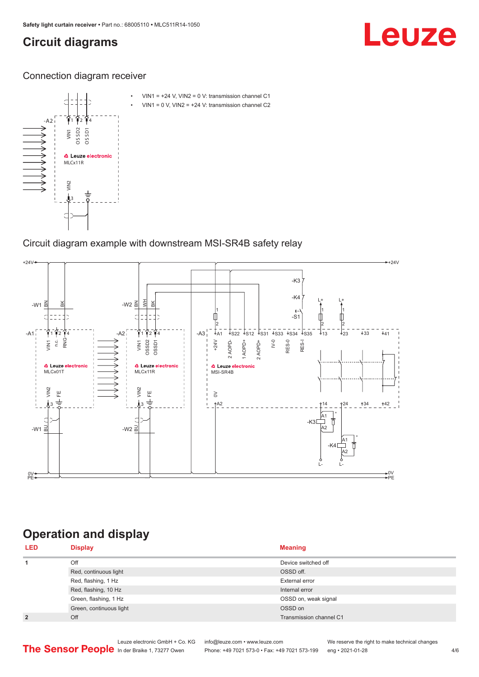## <span id="page-3-0"></span>**Circuit diagrams**

## Leuze

Connection diagram receiver



Circuit diagram example with downstream MSI-SR4B safety relay



## **Operation and display**

| <b>LED</b>     | <b>Display</b>          | <b>Meaning</b>          |
|----------------|-------------------------|-------------------------|
| 1              | Off                     | Device switched off     |
|                | Red, continuous light   | OSSD off.               |
|                | Red, flashing, 1 Hz     | External error          |
|                | Red, flashing, 10 Hz    | Internal error          |
|                | Green, flashing, 1 Hz   | OSSD on, weak signal    |
|                | Green, continuous light | OSSD on                 |
| $\overline{2}$ | Off                     | Transmission channel C1 |

Phone: +49 7021 573-0 • Fax: +49 7021 573-199 eng • 2021-01-28 4/6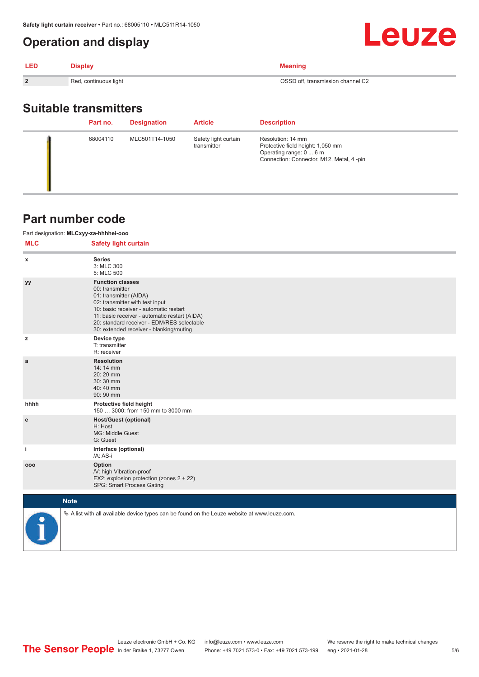## <span id="page-4-0"></span>**Operation and display**

| <b>LED</b>     | <b>Display</b>        | Meaning                           |
|----------------|-----------------------|-----------------------------------|
| $\overline{2}$ | Red, continuous light | OSSD off, transmission channel C2 |

## **Suitable transmitters**

|  | Part no. | <b>Designation</b> | <b>Article</b>                      | <b>Description</b>                                                                                                            |
|--|----------|--------------------|-------------------------------------|-------------------------------------------------------------------------------------------------------------------------------|
|  | 68004110 | MLC501T14-1050     | Safety light curtain<br>transmitter | Resolution: 14 mm<br>Protective field height: 1,050 mm<br>Operating range: 0  6 m<br>Connection: Connector, M12, Metal, 4-pin |

## **Part number code**

### Part designation: **MLCxyy-za-hhhhei-ooo**

| <b>MLC</b>   | <b>Safety light curtain</b>                                                                                                                                                                                                                                                                 |
|--------------|---------------------------------------------------------------------------------------------------------------------------------------------------------------------------------------------------------------------------------------------------------------------------------------------|
| x            | <b>Series</b><br>3: MLC 300<br>5: MLC 500                                                                                                                                                                                                                                                   |
| уу           | <b>Function classes</b><br>00: transmitter<br>01: transmitter (AIDA)<br>02: transmitter with test input<br>10: basic receiver - automatic restart<br>11: basic receiver - automatic restart (AIDA)<br>20: standard receiver - EDM/RES selectable<br>30: extended receiver - blanking/muting |
| z            | Device type<br>T: transmitter<br>R: receiver                                                                                                                                                                                                                                                |
| $\mathbf{a}$ | <b>Resolution</b><br>14: 14 mm<br>20:20 mm<br>30:30 mm<br>40:40 mm<br>90: 90 mm                                                                                                                                                                                                             |
| hhhh         | Protective field height<br>150  3000: from 150 mm to 3000 mm                                                                                                                                                                                                                                |
| e            | <b>Host/Guest (optional)</b><br>H: Host<br>MG: Middle Guest<br>G: Guest                                                                                                                                                                                                                     |
| j.           | Interface (optional)<br>/A: AS-i                                                                                                                                                                                                                                                            |
| 000          | Option<br>/V: high Vibration-proof<br>EX2: explosion protection (zones 2 + 22)<br>SPG: Smart Process Gating                                                                                                                                                                                 |
| <b>Note</b>  |                                                                                                                                                                                                                                                                                             |



 $\%$  A list with all available device types can be found on the Leuze website at www.leuze.com.

Leuze